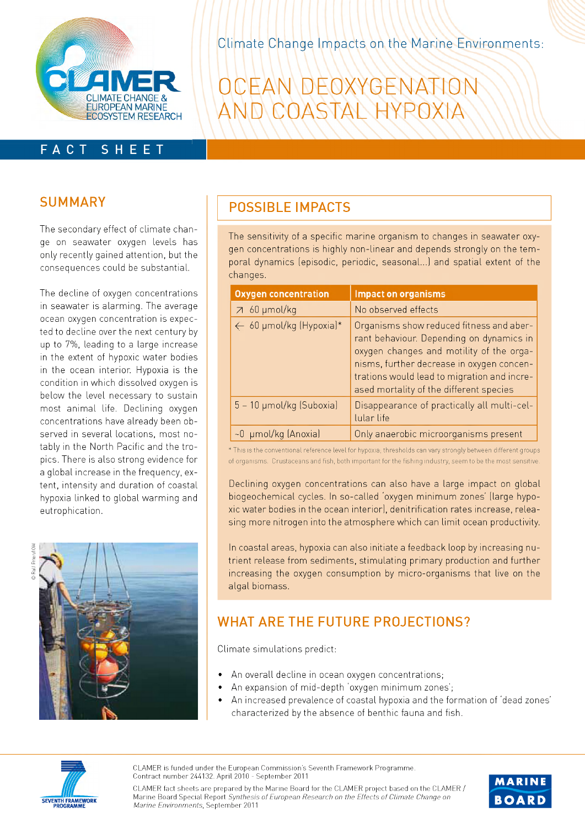

Climate Change Impacts on the Marine Environments:

# OCEAN DEOXYGENATION<br>AND COASTAL HYPOXIA

## **SUMMARY**

FACT

The secondary effect of climate change on seawater oxygen levels has only recently gained attention, but the conseguences could be substantial.

SHEET

The decline of oxygen concentrations in seawater is alarming. The average ocean oxygen concentration is expected to decline over the next century by up to 7%, leading to a large increase in the extent of hypoxic water bodies in the ocean interior. Hypoxia is the condition in which dissolved oxygen is below the level necessary to sustain most animal life. Declining oxygen concentrations have already been observed in several locations, most notably in the North Pacific and the tropics. There is also strong evidence for a global increase in the freguency, extent, intensity and duration of coastal hypoxia linked to global warming and eutrophication.



## **POSSIBLE IMPACTS**

The sensitivity of a specific marine organism to changes in seawater oxygen concentrations is highly non-linear and depends strongly on the temporal dynamics (episodic, periodic, seasonal...) and spatial extent of the changes.

| <b>Oxygen concentration</b> | <b>Impact on organisms</b>                                                                                                                                                                                                                                              |
|-----------------------------|-------------------------------------------------------------------------------------------------------------------------------------------------------------------------------------------------------------------------------------------------------------------------|
| $7\,60 \mu$ mol/kg          | No observed effects                                                                                                                                                                                                                                                     |
| ← 60 µmol/kg (Hypoxia)*     | Organisms show reduced fitness and aber-<br>rant behaviour. Depending on dynamics in<br>oxygen changes and motility of the orga-<br>nisms, further decrease in oxygen concen-<br>trations would lead to migration and incre-<br>ased mortality of the different species |
| 5 - 10 µmol/kg (Suboxia)    | Disappearance of practically all multi-cel-<br>lular life                                                                                                                                                                                                               |
| ~0 µmol/kg (Anoxia)         | Only anaerobic microorganisms present                                                                                                                                                                                                                                   |

\* This is the conventional reference level for hypoxia; thresholds can vary strongly between different groups of organisms. Crustaceans and fish, both important for the fishing industry, seem to be the most sensitive.

Declining oxygen concentrations can also have a large impact on global biogeochemical cycles. In so-called 'oxygen minimum zones' (large hypoxic water bodies in the ocean interior), denitrification rates increase, releasing more nitrogen into the atmosphere which can limit ocean productivity.

In coastal areas, hypoxia can also initiate a feedback loop by increasing nutrient release from sediments, stimulating primary production and further increasing the oxygen consumption by micro-organisms that live on the algal biomass.

## **WHAT ARE THE FUTURE PROJECTIONS?**

Climate simulations predict:

- An overall decline in ocean oxygen concentrations;
- An expansion of mid-depth 'oxygen minimum zones';
- An increased prevalence of coastal hypoxia and the formation of 'dead zones' characterized by the absence of benthic fauna and fish.



**CLAMER is funded under the European Commission's Seventh Framework Programme. Contract num ber 24-4-132. April 2010 - Septem ber 2011**



**CLAMER fact sheets are prepared by the Marine Board for the CLAMER project based on the CLAMER / Marine Board Special Report** *Synthesis o f European Research on the Effects o f Climate Change on Marine Environments*, September 2011